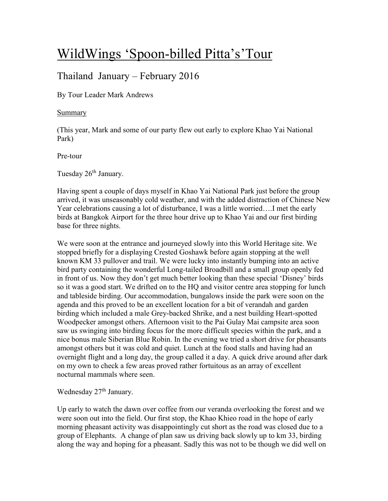# WildWings 'Spoon-billed Pitta's'Tour

# Thailand January – February 2016

By Tour Leader Mark Andrews

## Summary

(This year, Mark and some of our party flew out early to explore Khao Yai National Park)

Pre-tour

Tuesday 26<sup>th</sup> January.

Having spent a couple of days myself in Khao Yai National Park just before the group arrived, it was unseasonably cold weather, and with the added distraction of Chinese New Year celebrations causing a lot of disturbance, I was a little worried….I met the early birds at Bangkok Airport for the three hour drive up to Khao Yai and our first birding base for three nights.

We were soon at the entrance and journeyed slowly into this World Heritage site. We stopped briefly for a displaying Crested Goshawk before again stopping at the well known KM 33 pullover and trail. We were lucky into instantly bumping into an active bird party containing the wonderful Long-tailed Broadbill and a small group openly fed in front of us. Now they don't get much better looking than these special 'Disney' birds so it was a good start. We drifted on to the HQ and visitor centre area stopping for lunch and tableside birding. Our accommodation, bungalows inside the park were soon on the agenda and this proved to be an excellent location for a bit of verandah and garden birding which included a male Grey-backed Shrike, and a nest building Heart-spotted Woodpecker amongst others. Afternoon visit to the Pai Gulay Mai campsite area soon saw us swinging into birding focus for the more difficult species within the park, and a nice bonus male Siberian Blue Robin. In the evening we tried a short drive for pheasants amongst others but it was cold and quiet. Lunch at the food stalls and having had an overnight flight and a long day, the group called it a day. A quick drive around after dark on my own to check a few areas proved rather fortuitous as an array of excellent nocturnal mammals where seen.

# Wednesday 27<sup>th</sup> January.

Up early to watch the dawn over coffee from our veranda overlooking the forest and we were soon out into the field. Our first stop, the Khao Khieo road in the hope of early morning pheasant activity was disappointingly cut short as the road was closed due to a group of Elephants. A change of plan saw us driving back slowly up to km 33, birding along the way and hoping for a pheasant. Sadly this was not to be though we did well on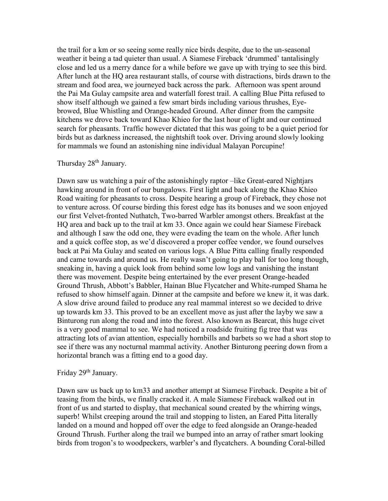the trail for a km or so seeing some really nice birds despite, due to the un-seasonal weather it being a tad quieter than usual. A Siamese Fireback 'drummed' tantalisingly close and led us a merry dance for a while before we gave up with trying to see this bird. After lunch at the HQ area restaurant stalls, of course with distractions, birds drawn to the stream and food area, we journeyed back across the park. Afternoon was spent around the Pai Ma Gulay campsite area and waterfall forest trail. A calling Blue Pitta refused to show itself although we gained a few smart birds including various thrushes, Eyebrowed, Blue Whistling and Orange-headed Ground. After dinner from the campsite kitchens we drove back toward Khao Khieo for the last hour of light and our continued search for pheasants. Traffic however dictated that this was going to be a quiet period for birds but as darkness increased, the nightshift took over. Driving around slowly looking for mammals we found an astonishing nine individual Malayan Porcupine!

# Thursday 28<sup>th</sup> January.

Dawn saw us watching a pair of the astonishingly raptor –like Great-eared Nightjars hawking around in front of our bungalows. First light and back along the Khao Khieo Road waiting for pheasants to cross. Despite hearing a group of Fireback, they chose not to venture across. Of course birding this forest edge has its bonuses and we soon enjoyed our first Velvet-fronted Nuthatch, Two-barred Warbler amongst others. Breakfast at the HQ area and back up to the trail at km 33. Once again we could hear Siamese Fireback and although I saw the odd one, they were evading the team on the whole. After lunch and a quick coffee stop, as we'd discovered a proper coffee vendor, we found ourselves back at Pai Ma Gulay and seated on various logs. A Blue Pitta calling finally responded and came towards and around us. He really wasn't going to play ball for too long though, sneaking in, having a quick look from behind some low logs and vanishing the instant there was movement. Despite being entertained by the ever present Orange-headed Ground Thrush, Abbott's Babbler, Hainan Blue Flycatcher and White-rumped Shama he refused to show himself again. Dinner at the campsite and before we knew it, it was dark. A slow drive around failed to produce any real mammal interest so we decided to drive up towards km 33. This proved to be an excellent move as just after the layby we saw a Binturong run along the road and into the forest. Also known as Bearcat, this huge civet is a very good mammal to see. We had noticed a roadside fruiting fig tree that was attracting lots of avian attention, especially hornbills and barbets so we had a short stop to see if there was any nocturnal mammal activity. Another Binturong peering down from a horizontal branch was a fitting end to a good day.

# Friday 29<sup>th</sup> January.

Dawn saw us back up to km33 and another attempt at Siamese Fireback. Despite a bit of teasing from the birds, we finally cracked it. A male Siamese Fireback walked out in front of us and started to display, that mechanical sound created by the whirring wings, superb! Whilst creeping around the trail and stopping to listen, an Eared Pitta literally landed on a mound and hopped off over the edge to feed alongside an Orange-headed Ground Thrush. Further along the trail we bumped into an array of rather smart looking birds from trogon's to woodpeckers, warbler's and flycatchers. A bounding Coral-billed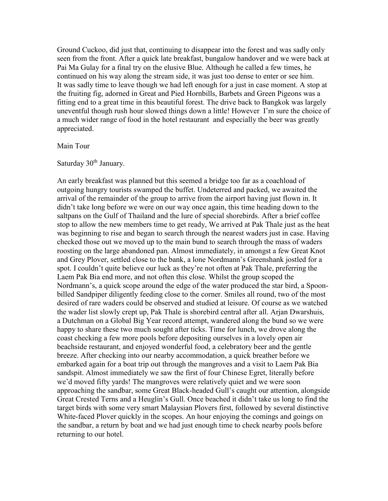Ground Cuckoo, did just that, continuing to disappear into the forest and was sadly only seen from the front. After a quick late breakfast, bungalow handover and we were back at Pai Ma Gulay for a final try on the elusive Blue. Although he called a few times, he continued on his way along the stream side, it was just too dense to enter or see him. It was sadly time to leave though we had left enough for a just in case moment. A stop at the fruiting fig, adorned in Great and Pied Hornbills, Barbets and Green Pigeons was a fitting end to a great time in this beautiful forest. The drive back to Bangkok was largely uneventful though rush hour slowed things down a little! However I'm sure the choice of a much wider range of food in the hotel restaurant and especially the beer was greatly appreciated.

#### Main Tour

# Saturday 30<sup>th</sup> January.

An early breakfast was planned but this seemed a bridge too far as a coachload of outgoing hungry tourists swamped the buffet. Undeterred and packed, we awaited the arrival of the remainder of the group to arrive from the airport having just flown in. It didn't take long before we were on our way once again, this time heading down to the saltpans on the Gulf of Thailand and the lure of special shorebirds. After a brief coffee stop to allow the new members time to get ready, We arrived at Pak Thale just as the heat was beginning to rise and began to search through the nearest waders just in case. Having checked those out we moved up to the main bund to search through the mass of waders roosting on the large abandoned pan. Almost immediately, in amongst a few Great Knot and Grey Plover, settled close to the bank, a lone Nordmann's Greenshank jostled for a spot. I couldn't quite believe our luck as they're not often at Pak Thale, preferring the Laem Pak Bia end more, and not often this close. Whilst the group scoped the Nordmann's, a quick scope around the edge of the water produced the star bird, a Spoonbilled Sandpiper diligently feeding close to the corner. Smiles all round, two of the most desired of rare waders could be observed and studied at leisure. Of course as we watched the wader list slowly crept up, Pak Thale is shorebird central after all. Arjan Dwarshuis, a Dutchman on a Global Big Year record attempt, wandered along the bund so we were happy to share these two much sought after ticks. Time for lunch, we drove along the coast checking a few more pools before depositing ourselves in a lovely open air beachside restaurant, and enjoyed wonderful food, a celebratory beer and the gentle breeze. After checking into our nearby accommodation, a quick breather before we embarked again for a boat trip out through the mangroves and a visit to Laem Pak Bia sandspit. Almost immediately we saw the first of four Chinese Egret, literally before we'd moved fifty yards! The mangroves were relatively quiet and we were soon approaching the sandbar, some Great Black-headed Gull's caught our attention, alongside Great Crested Terns and a Heuglin's Gull. Once beached it didn't take us long to find the target birds with some very smart Malaysian Plovers first, followed by several distinctive White-faced Plover quickly in the scopes. An hour enjoying the comings and goings on the sandbar, a return by boat and we had just enough time to check nearby pools before returning to our hotel.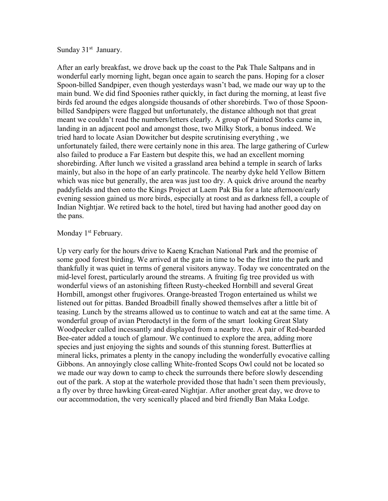Sunday 31<sup>st</sup> January.

After an early breakfast, we drove back up the coast to the Pak Thale Saltpans and in wonderful early morning light, began once again to search the pans. Hoping for a closer Spoon-billed Sandpiper, even though yesterdays wasn't bad, we made our way up to the main bund. We did find Spoonies rather quickly, in fact during the morning, at least five birds fed around the edges alongside thousands of other shorebirds. Two of those Spoonbilled Sandpipers were flagged but unfortunately, the distance although not that great meant we couldn't read the numbers/letters clearly. A group of Painted Storks came in, landing in an adjacent pool and amongst those, two Milky Stork, a bonus indeed. We tried hard to locate Asian Dowitcher but despite scrutinising everything , we unfortunately failed, there were certainly none in this area. The large gathering of Curlew also failed to produce a Far Eastern but despite this, we had an excellent morning shorebirding. After lunch we visited a grassland area behind a temple in search of larks mainly, but also in the hope of an early pratincole. The nearby dyke held Yellow Bittern which was nice but generally, the area was just too dry. A quick drive around the nearby paddyfields and then onto the Kings Project at Laem Pak Bia for a late afternoon/early evening session gained us more birds, especially at roost and as darkness fell, a couple of Indian Nightjar. We retired back to the hotel, tired but having had another good day on the pans.

#### Monday 1<sup>st</sup> February.

Up very early for the hours drive to Kaeng Krachan National Park and the promise of some good forest birding. We arrived at the gate in time to be the first into the park and thankfully it was quiet in terms of general visitors anyway. Today we concentrated on the mid-level forest, particularly around the streams. A fruiting fig tree provided us with wonderful views of an astonishing fifteen Rusty-cheeked Hornbill and several Great Hornbill, amongst other frugivores. Orange-breasted Trogon entertained us whilst we listened out for pittas. Banded Broadbill finally showed themselves after a little bit of teasing. Lunch by the streams allowed us to continue to watch and eat at the same time. A wonderful group of avian Pterodactyl in the form of the smart looking Great Slaty Woodpecker called incessantly and displayed from a nearby tree. A pair of Red-bearded Bee-eater added a touch of glamour. We continued to explore the area, adding more species and just enjoying the sights and sounds of this stunning forest. Butterflies at mineral licks, primates a plenty in the canopy including the wonderfully evocative calling Gibbons. An annoyingly close calling White-fronted Scops Owl could not be located so we made our way down to camp to check the surrounds there before slowly descending out of the park. A stop at the waterhole provided those that hadn't seen them previously, a fly over by three hawking Great-eared Nightjar. After another great day, we drove to our accommodation, the very scenically placed and bird friendly Ban Maka Lodge.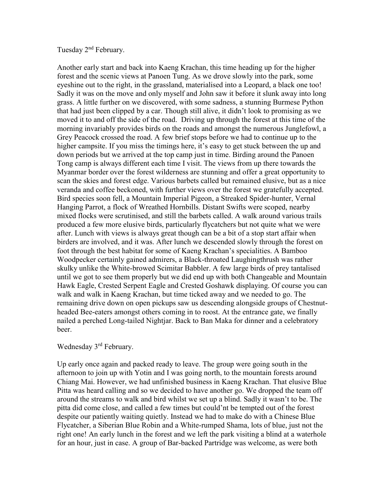Tuesday 2nd February.

Another early start and back into Kaeng Krachan, this time heading up for the higher forest and the scenic views at Panoen Tung. As we drove slowly into the park, some eyeshine out to the right, in the grassland, materialised into a Leopard, a black one too! Sadly it was on the move and only myself and John saw it before it slunk away into long grass. A little further on we discovered, with some sadness, a stunning Burmese Python that had just been clipped by a car. Though still alive, it didn't look to promising as we moved it to and off the side of the road. Driving up through the forest at this time of the morning invariably provides birds on the roads and amongst the numerous Junglefowl, a Grey Peacock crossed the road. A few brief stops before we had to continue up to the higher campsite. If you miss the timings here, it's easy to get stuck between the up and down periods but we arrived at the top camp just in time. Birding around the Panoen Tong camp is always different each time I visit. The views from up there towards the Myanmar border over the forest wilderness are stunning and offer a great opportunity to scan the skies and forest edge. Various barbets called but remained elusive, but as a nice veranda and coffee beckoned, with further views over the forest we gratefully accepted. Bird species soon fell, a Mountain Imperial Pigeon, a Streaked Spider-hunter, Vernal Hanging Parrot, a flock of Wreathed Hornbills. Distant Swifts were scoped, nearby mixed flocks were scrutinised, and still the barbets called. A walk around various trails produced a few more elusive birds, particularly flycatchers but not quite what we were after. Lunch with views is always great though can be a bit of a stop start affair when birders are involved, and it was. After lunch we descended slowly through the forest on foot through the best habitat for some of Kaeng Krachan's specialities. A Bamboo Woodpecker certainly gained admirers, a Black-throated Laughingthrush was rather skulky unlike the White-browed Scimitar Babbler. A few large birds of prey tantalised until we got to see them properly but we did end up with both Changeable and Mountain Hawk Eagle, Crested Serpent Eagle and Crested Goshawk displaying. Of course you can walk and walk in Kaeng Krachan, but time ticked away and we needed to go. The remaining drive down on open pickups saw us descending alongside groups of Chestnutheaded Bee-eaters amongst others coming in to roost. At the entrance gate, we finally nailed a perched Long-tailed Nightjar. Back to Ban Maka for dinner and a celebratory beer.

# Wednesday 3<sup>rd</sup> February.

Up early once again and packed ready to leave. The group were going south in the afternoon to join up with Yotin and I was going north, to the mountain forests around Chiang Mai. However, we had unfinished business in Kaeng Krachan. That elusive Blue Pitta was heard calling and so we decided to have another go. We dropped the team off around the streams to walk and bird whilst we set up a blind. Sadly it wasn't to be. The pitta did come close, and called a few times but could'nt be tempted out of the forest despite our patiently waiting quietly. Instead we had to make do with a Chinese Blue Flycatcher, a Siberian Blue Robin and a White-rumped Shama, lots of blue, just not the right one! An early lunch in the forest and we left the park visiting a blind at a waterhole for an hour, just in case. A group of Bar-backed Partridge was welcome, as were both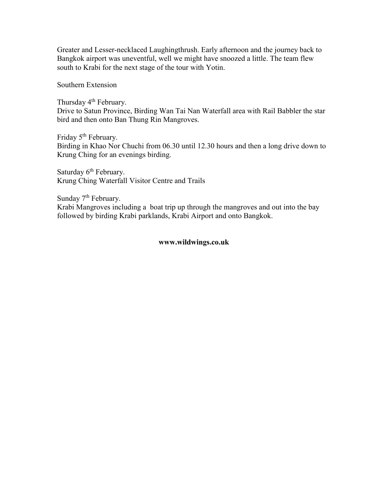Greater and Lesser-necklaced Laughingthrush. Early afternoon and the journey back to Bangkok airport was uneventful, well we might have snoozed a little. The team flew south to Krabi for the next stage of the tour with Yotin.

Southern Extension

Thursday 4<sup>th</sup> February. Drive to Satun Province, Birding Wan Tai Nan Waterfall area with Rail Babbler the star bird and then onto Ban Thung Rin Mangroves.

Friday 5<sup>th</sup> February. Birding in Khao Nor Chuchi from 06.30 until 12.30 hours and then a long drive down to Krung Ching for an evenings birding.

Saturday 6<sup>th</sup> February. Krung Ching Waterfall Visitor Centre and Trails

Sunday 7<sup>th</sup> February. Krabi Mangroves including a boat trip up through the mangroves and out into the bay followed by birding Krabi parklands, Krabi Airport and onto Bangkok.

#### **www.wildwings.co.uk**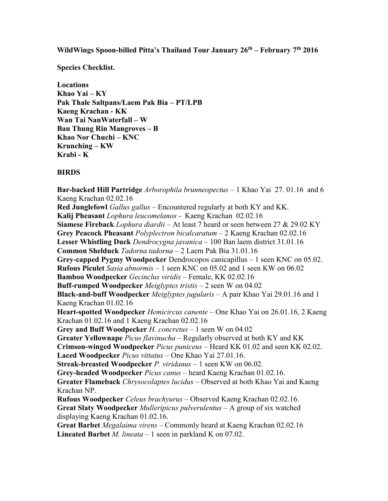**WildWings Spoon-billed Pitta's Thailand Tour January 26th – February 7th 2016**

**Species Checklist.**

**Locations Khao Yai – KY Pak Thale Saltpans/Laem Pak Bia – PT/LPB Kaeng Krachan - KK Wan Tai NanWaterfall – W Ban Thung Rin Mangroves – B Khao Nor Chuchi – KNC Krunching – KW Krabi - K**

# **BIRDS**

**Bar-backed Hill Partridge** *Arborophila brunneopectus* – 1 Khao Yai 27. 01.16 and 6 Kaeng Krachan 02.02.16 **Red Junglefowl** *Gallus gallus* – Encountered regularly at both KY and KK. **Kalij Pheasant** *Lophura leucomelanos* - Kaeng Krachan 02.02.16 **Siamese Fireback** *Lophura diardii* – At least 7 heard or seen between 27 & 29.02 KY **Grey Peacock Pheasant** *Polyplectron bicalcaratum* – 2 Kaeng Krachan 02.02.16 **Lesser Whistling Duck** *Dendrocygna javanica* – 100 Ban laem district 31.01.16 **Common Shelduck** *Tadorna tadorna* – 2 Laem Pak Bia 31.01.16 **Grey-capped Pygmy Woodpecker** Dendrocopos canicapillus – 1 seen KNC on 05.02. **Rufous Piculet** *Sasia abnormis* – 1 seen KNC on 05.02 and 1 seen KW on 06.02 **Bamboo Woodpecker** *Gecinclus viridis* – Female, KK 02.02.16 **Buff-rumped Woodpecker** *Meiglyptes tristis* – 2 seen W on 04.02 **Black-and-buff Woodpecker** *Meiglyptes jugularis* – A pair Khao Yai 29.01.16 and 1 Kaeng Krachan 01.02.16 **Heart-spotted Woodpecker** *Hemicircus canente* – One Khao Yai on 26.01.16, 2 Kaeng Krachan 01.02.16 and 1 Kaeng Krachan 02.02.16 **Grey and Buff Woodpecker** *H. concretus* – 1 seen W on 04.02 **Greater Yellownape** *Picus flavinucha* – Regularly observed at both KY and KK **Crimson-winged Woodpecker** *Picus puniceus* – Heard KK 01.02 and seen KK 02.02. **Laced Woodpecker** *Picus vittatus* – One Khao Yai 27.01.16. **Streak-breasted Woodpecker** *P. viridanus* – 1 seen KW on 06.02. **Grey-headed Woodpecker** *Picus canus* – heard Kaeng Krachan 01.02.16. **Greater Flameback** *Chrysocolaptes lucidus* – Observed at both Khao Yai and Kaeng Krachan NP. **Rufous Woodpecker** *Celeus brachyurus* – Observed Kaeng Krachan 02.02.16. **Great Slaty Woodpecker** *Mulleripicus pulverulentus* – A group of six watched displaying Kaeng Krachan 01.02.16. **Great Barbet** *Megalaima virens* – Commonly heard at Kaeng Krachan 02.02.16 **Lineated Barbet** *M. lineata* – 1 seen in parkland K on 07.02.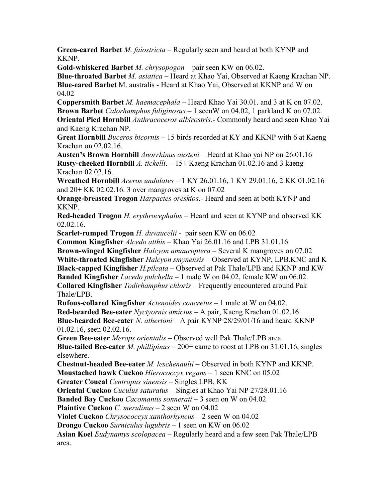**Green-eared Barbet** *M. faiostricta* – Regularly seen and heard at both KYNP and KKNP.

**Gold-whiskered Barbet** *M. chrysopogon* – pair seen KW on 06.02.

**Blue-throated Barbet** *M. asiatica* – Heard at Khao Yai, Observed at Kaeng Krachan NP. **Blue-eared Barbet** M. australis - Heard at Khao Yai, Observed at KKNP and W on 04.02

**Coppersmith Barbet** *M. haemacephala* – Heard Khao Yai 30.01. and 3 at K on 07.02. **Brown Barbet** *Calorhamphus fuliginosus* – 1 seenW on 04.02, 1 parkland K on 07.02. **Oriental Pied Hornbill** *Anthracoceros albirostris*.- Commonly heard and seen Khao Yai

and Kaeng Krachan NP.

**Great Hornbill** *Buceros bicornis* – 15 birds recorded at KY and KKNP with 6 at Kaeng Krachan on 02.02.16.

**Austen's Brown Hornbill** *Anorrhinus austeni* – Heard at Khao yai NP on 26.01.16 **Rusty-cheeked Hornbill** *A. tickelli*. – 15+ Kaeng Krachan 01.02.16 and 3 kaeng Krachan 02.02.16.

**Wreathed Hornbill** *Aceros undulates* – 1 KY 26.01.16, 1 KY 29.01.16, 2 KK 01.02.16 and 20+ KK 02.02.16. 3 over mangroves at K on 07.02

**Orange-breasted Trogon** *Harpactes oreskios*.- Heard and seen at both KYNP and KKNP.

**Red-headed Trogon** *H. erythrocephalus* – Heard and seen at KYNP and observed KK 02.02.16.

**Scarlet-rumped Trogon** *H. duvaucelii* - pair seen KW on 06.02

**Common Kingfisher** *Alcedo atthis* – Khao Yai 26.01.16 and LPB 31.01.16 **Brown-winged Kingfisher** *Halcyon amauroptera* – Several K mangroves on 07.02 **White-throated Kingfisher** *Halcyon smynensis* – Observed at KYNP, LPB.KNC and K **Black-capped Kingfisher** *H.pileata* – Observed at Pak Thale/LPB and KKNP and KW **Banded Kingfisher** *Lacedo pulchella* – 1 male W on 04.02, female KW on 06.02. **Collared Kingfisher** *Todirhamphus chloris* – Frequently encountered around Pak Thale/LPB.

**Rufous-collared Kingfisher** *Actenoides concretus* – 1 male at W on 04.02. **Red-bearded Bee-eater** *Nyctyornis amictus* – A pair, Kaeng Krachan 01.02.16 **Blue-bearded Bee-eater** *N. athertoni* – A pair KYNP 28/29/01/16 and heard KKNP 01.02.16, seen 02.02.16.

**Green Bee-eater** *Merops orientalis* – Observed well Pak Thale/LPB area.

**Blue-tailed Bee-eater** *M. phillipinus* – 200+ came to roost at LPB on 31.01.16, singles elsewhere.

**Chestnut-headed Bee-eater** *M. leschenaulti* – Observed in both KYNP and KKNP. **Moustached hawk Cuckoo** *Hierococcyx vegans* – 1 seen KNC on 05.02

**Greater Coucal** *Centropus sinensis* – Singles LPB, KK

**Oriental Cuckoo** *Cuculus saturatus* – Singles at Khao Yai NP 27/28.01.16

**Banded Bay Cuckoo** *Cacomantis sonnerati* – 3 seen on W on 04.02

**Plaintive Cuckoo** *C. merulinus* – 2 seen W on 04.02

**Violet Cuckoo** *Chrysococcyx xanthorhyncus* – 2 seen W on 04.02

**Drongo Cuckoo** *Surniculus lugubris* – 1 seen on KW on 06.02

**Asian Koel** *Eudynamys scolopacea* – Regularly heard and a few seen Pak Thale/LPB area.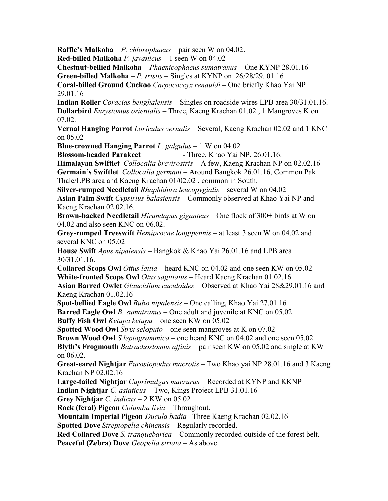**Raffle's Malkoha** – *P. chlorophaeus* – pair seen W on 04.02.

**Red-billed Malkoha** *P. javanicus* – 1 seen W on 04.02

**Chestnut-bellied Malkoha** – *Phaenicophaeus sumatranus* – One KYNP 28.01.16

**Green-billed Malkoha** – *P. tristis* – Singles at KYNP on 26/28/29. 01.16

**Coral-billed Ground Cuckoo** *Carpococcyx renauldi* – One briefly Khao Yai NP 29.01.16

**Indian Roller** *Coracias benghalensis* – Singles on roadside wires LPB area 30/31.01.16. **Dollarbird** *Eurystomus orientalis* – Three, Kaeng Krachan 01.02., 1 Mangroves K on 07.02.

**Vernal Hanging Parrot** *Loriculus vernalis* – Several, Kaeng Krachan 02.02 and 1 KNC on 05.02

**Blue-crowned Hanging Parrot** *L. galgulus* – 1 W on 04.02

**Blossom-headed Parakeet** - Three, Khao Yai NP, 26.01.16.

**Himalayan Swiftlet** *Collocalia brevirostris* – A few, Kaeng Krachan NP on 02.02.16 **Germain's Swiftlet** *Collocalia germani* – Around Bangkok 26.01.16, Common Pak

Thale/LPB area and Kaeng Krachan 01/02.02 , common in South.

**Silver-rumped Needletail** *Rhaphidura leucopygialis* – several W on 04.02 **Asian Palm Swift** *Cypsirius balasiensis* – Commonly observed at Khao Yai NP and Kaeng Krachan 02.02.16.

**Brown-backed Needletail** *Hirundapus giganteus* – One flock of 300+ birds at W on 04.02 and also seen KNC on 06.02.

**Grey-rumped Treeswift** *Hemiprocne longipennis* – at least 3 seen W on 04.02 and several KNC on 05.02

**House Swift** *Apus nipalensis* – Bangkok & Khao Yai 26.01.16 and LPB area 30/31.01.16.

**Collared Scops Owl** *Ottus lettia* – heard KNC on 04.02 and one seen KW on 05.02 **White-fronted Scops Owl** *Otus sagittatus* – Heard Kaeng Krachan 01.02.16

**Asian Barred Owlet** *Glaucidium cuculoides* – Observed at Khao Yai 28&29.01.16 and Kaeng Krachan 01.02.16

**Spot-bellied Eagle Owl** *Bubo nipalensis* – One calling, Khao Yai 27.01.16

**Barred Eagle Owl** *B. sumatranus* – One adult and juvenile at KNC on 05.02

**Buffy Fish Owl** *Ketupa ketupa* – one seen KW on 05.02

**Spotted Wood Owl** *Strix seloputo* – one seen mangroves at K on 07.02

**Brown Wood Owl** *S.leptogrammica –* one heard KNC on 04.02 and one seen 05.02

**Blyth's Frogmouth** *Batrachostomus affinis* – pair seen KW on 05.02 and single at KW on 06.02.

**Great-eared Nightjar** *Eurostopodus macrotis* – Two Khao yai NP 28.01.16 and 3 Kaeng Krachan NP 02.02.16

**Large-tailed Nightjar** *Caprimulgus macrurus* – Recorded at KYNP and KKNP

**Indian Nightjar** *C. asiaticus* – Two, Kings Project LPB 31.01.16

**Grey Nightjar** *C. indicus* – 2 KW on 05.02

**Rock (feral) Pigeon** *Columba livia* – Throughout.

**Mountain Imperial Pigeon** *Ducula badia*– Three Kaeng Krachan 02.02.16

**Spotted Dove** *Streptopelia chinensis* – Regularly recorded.

**Red Collared Dove** *S. tranquebarica* – Commonly recorded outside of the forest belt.

**Peaceful (Zebra) Dove** *Geopelia striata* – As above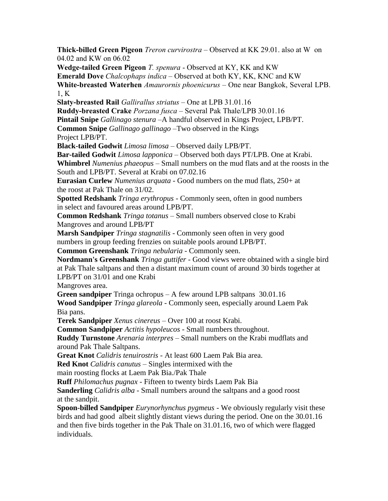**Thick-billed Green Pigeon** *Treron curvirostra* – Observed at KK 29.01. also at W on 04.02 and KW on 06.02 **Wedge-tailed Green Pigeon** *T. spenura* - Observed at KY, KK and KW **Emerald Dove** *Chalcophaps indica* – Observed at both KY, KK, KNC and KW **White-breasted Waterhen** *Amaurornis phoenicurus* – One near Bangkok, Several LPB. 1, K **Slaty-breasted Rail** *Gallirallus striatus* – One at LPB 31.01.16 **Ruddy-breasted Crake** *Porzana fusca* – Several Pak Thale/LPB 30.01.16 **Pintail Snipe** *Gallinago stenura* –A handful observed in Kings Project, LPB/PT. **Common Snipe** *Gallinago gallinago* –Two observed in the Kings Project LPB/PT. **Black-tailed Godwit** *Limosa limosa* – Observed daily LPB/PT. **Bar-tailed Godwit** *Limosa lapponica* – Observed both days PT/LPB. One at Krabi. **Whimbrel** *Numenius phaeopus* – Small numbers on the mud flats and at the roosts in the South and LPB/PT. Several at Krabi on 07.02.16 **Eurasian Curlew** *Numenius arquata* - Good numbers on the mud flats, 250+ at the roost at Pak Thale on 31/02. **Spotted Redshank** *Tringa erythropus* - Commonly seen, often in good numbers in select and favoured areas around LPB/PT. **Common Redshank** *Tringa totanus* – Small numbers observed close to Krabi Mangroves and around LPB/PT **Marsh Sandpiper** *Tringa stagnatilis* - Commonly seen often in very good numbers in group feeding frenzies on suitable pools around LPB/PT. **Common Greenshank** *Tringa nebularia* - Commonly seen. **Nordmann's Greenshank** *Tringa guttifer* - Good views were obtained with a single bird at Pak Thale saltpans and then a distant maximum count of around 30 birds together at LPB/PT on 31/01 and one Krabi Mangroves area. **Green sandpiper** Tringa ochropus – A few around LPB saltpans 30.01.16 **Wood Sandpiper** *Tringa glareola* - Commonly seen, especially around Laem Pak Bia pans. **Terek Sandpiper** *Xenus cinereus* – Over 100 at roost Krabi. **Common Sandpiper** *Actitis hypoleucos* - Small numbers throughout. **Ruddy Turnstone** *Arenaria interpres* – Small numbers on the Krabi mudflats and around Pak Thale Saltpans. **Great Knot** *Calidris tenuirostris* - At least 600 Laem Pak Bia area. **Red Knot** *Calidris canutus* – Singles intermixed with the

main roosting flocks at Laem Pak Bia./Pak Thale

**Ruff** *Philomachus pugnax* - Fifteen to twenty birds Laem Pak Bia

**Sanderling** *Calidris alba* - Small numbers around the saltpans and a good roost at the sandpit.

**Spoon-billed Sandpiper** *Eurynorhynchus pygmeus* - We obviously regularly visit these birds and had good albeit slightly distant views during the period. One on the 30.01.16 and then five birds together in the Pak Thale on 31.01.16, two of which were flagged individuals.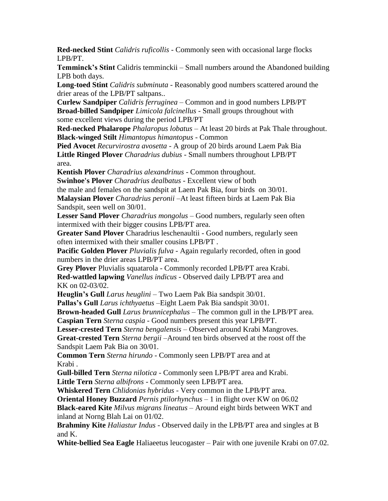**Red-necked Stint** *Calidris ruficollis* - Commonly seen with occasional large flocks LPB/PT.

**Temminck's Stint** Calidris temminckii – Small numbers around the Abandoned building LPB both days.

**Long-toed Stint** *Calidris subminuta* - Reasonably good numbers scattered around the drier areas of the LPB/PT saltpans..

**Curlew Sandpiper** *Calidris ferruginea* – Common and in good numbers LPB/PT **Broad-billed Sandpiper** *Limicola falcinellus* - Small groups throughout with some excellent views during the period LPB/PT

**Red-necked Phalarope** *Phalaropus lobatus* – At least 20 birds at Pak Thale throughout. **Black-winged Stilt** *Himantopus himantopus* - Common

**Pied Avocet** *Recurvirostra avosetta* - A group of 20 birds around Laem Pak Bia **Little Ringed Plover** *Charadrius dubius* - Small numbers throughout LPB/PT area.

**Kentish Plover** *Charadrius alexandrinus* - Common throughout.

**Swinhoe's Plover** *Charadrius dealbatus* - Excellent view of both

the male and females on the sandspit at Laem Pak Bia, four birds on 30/01.

**Malaysian Plover** *Charadrius peronii* –At least fifteen birds at Laem Pak Bia Sandspit, seen well on 30/01.

**Lesser Sand Plover** *Charadrius mongolus* – Good numbers, regularly seen often intermixed with their bigger cousins LPB/PT area.

**Greater Sand Plover** Charadrius leschenaultii - Good numbers, regularly seen often intermixed with their smaller cousins LPB/PT .

**Pacific Golden Plover** *Pluvialis fulva* - Again regularly recorded, often in good numbers in the drier areas LPB/PT area.

**Grey Plover** Pluvialis squatarola - Commonly recorded LPB/PT area Krabi.

**Red-wattled lapwing** *Vanellus indicus* - Observed daily LPB/PT area and KK on 02-03/02.

**Heuglin's Gull** *Larus heuglini* – Two Laem Pak Bia sandspit 30/01.

**Pallas's Gull** *Larus ichthyaetus* –Eight Laem Pak Bia sandspit 30/01.

**Brown-headed Gull** *Larus brunnicephalus* – The common gull in the LPB/PT area.

**Caspian Tern** *Sterna caspia* - Good numbers present this year LPB/PT.

**Lesser-crested Tern** *Sterna bengalensis* – Observed around Krabi Mangroves.

**Great-crested Tern** *Sterna bergii* –Around ten birds observed at the roost off the Sandspit Laem Pak Bia on 30/01.

**Common Tern** *Sterna hirundo* - Commonly seen LPB/PT area and at Krabi .

**Gull-billed Tern** *Sterna nilotica* - Commonly seen LPB/PT area and Krabi. **Little Tern** *Sterna albifrons* - Commonly seen LPB/PT area.

**Whiskered Tern** *Chlidonias hybridus* - Very common in the LPB/PT area.

**Oriental Honey Buzzard** *Pernis ptilorhynchus* – 1 in flight over KW on 06.02

**Black-eared Kite** *Milvus migrans lineatus* – Around eight birds between WKT and inland at Norng Blah Lai on 01/02.

**Brahminy Kite** *Haliastur Indus* - Observed daily in the LPB/PT area and singles at B and K.

**White-bellied Sea Eagle** Haliaeetus leucogaster – Pair with one juvenile Krabi on 07.02.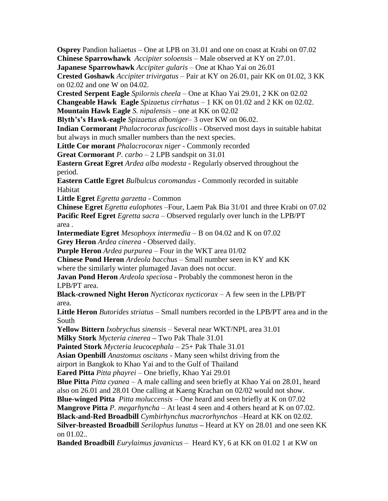**Osprey** Pandion haliaetus – One at LPB on 31.01 and one on coast at Krabi on 07.02 **Chinese Sparrowhawk** *Accipiter soloensis* – Male observed at KY on 27.01.

**Japanese Sparrowhawk** *Accipiter gularis* – One at Khao Yai on 26.01

**Crested Goshawk** *Accipiter trivirgatus* – Pair at KY on 26.01, pair KK on 01.02, 3 KK on 02.02 and one W on 04.02.

**Crested Serpent Eagle** *Spilornis cheela* – One at Khao Yai 29.01, 2 KK on 02.02

**Changeable Hawk Eagle** *Spizaetus cirrhatus –* 1 KK on 01.02 and 2 KK on 02.02.

**Mountain Hawk Eagle** *S. nipalensis –* one at KK on 02.02

**Blyth's's Hawk-eagle** *Spizaetus alboniger*– 3 over KW on 06.02.

**Indian Cormorant** *Phalacrocorax fuscicollis* - Observed most days in suitable habitat but always in much smaller numbers than the next species.

**Little Cor morant** *Phalacrocorax niger* - Commonly recorded

**Great Cormorant** *P. carbo –* 2 LPB sandspit on 31.01

**Eastern Great Egret** *Ardea alba modesta* - Regularly observed throughout the period.

**Eastern Cattle Egret** *Bulbulcus coromandus* - Commonly recorded in suitable Habitat

**Little Egret** *Egretta garzetta* - Common

**Chinese Egret** *Egretta eulophotes* –Four, Laem Pak Bia 31/01 and three Krabi on 07.02 **Pacific Reef Egret** *Egretta sacra* – Observed regularly over lunch in the LPB/PT area .

**Intermediate Egret** *Mesophoyx intermedia* – B on 04.02 and K on 07.02 **Grey Heron** *Ardea cinerea* - Observed daily.

**Purple Heron** *Ardea purpurea* – Four in the WKT area 01/02

**Chinese Pond Heron** *Ardeola bacchus* – Small number seen in KY and KK where the similarly winter plumaged Javan does not occur.

**Javan Pond Heron** *Ardeola speciosa* - Probably the commonest heron in the LPB/PT area.

**Black-crowned Night Heron** *Nycticorax nycticorax* – A few seen in the LPB/PT area.

**Little Heron** *Butorides striatus* – Small numbers recorded in the LPB/PT area and in the South

**Yellow Bittern** *Ixobrychus sinensis* – Several near WKT/NPL area 31.01

**Milky Stork** *Mycteria cinerea* **–** Two Pak Thale 31.01

**Painted Stork** *Mycteria leucocephala* – 25+ Pak Thale 31.01

**Asian Openbill** *Anastomus oscitans* - Many seen whilst driving from the

airport in Bangkok to Khao Yai and to the Gulf of Thailand

**Eared Pitta** *Pitta phayrei –* One briefly, Khao Yai 29.01

**Blue Pitta** *Pitta cyanea* – A male calling and seen briefly at Khao Yai on 28.01, heard

also on 26.01 and 28.01 One calling at Kaeng Krachan on 02/02 would not show.

**Blue-winged Pitta** *Pitta moluccensis* – One heard and seen briefly at K on 07.02

**Mangrove Pitta** *P. megarhyncha* – At least 4 seen and 4 others heard at K on 07.02.

**Black-and-Red Broadbill** *Cymbirhynchus macrorhynchos* –Heard at KK on 02.02.

**Silver-breasted Broadbill** *Serilophus lunatus* **–** Heard at KY on 28.01 and one seen KK on 01.02..

**Banded Broadbill** *Eurylaimus javanicus* – Heard KY, 6 at KK on 01.02 1 at KW on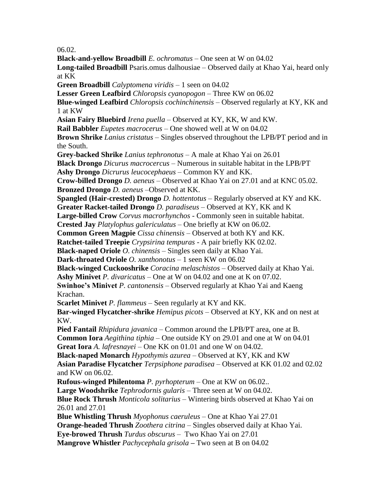06.02.

**Black-and-yellow Broadbill** *E. ochromatus* – One seen at W on 04.02 **Long-tailed Broadbill** Psaris.omus dalhousiae – Observed daily at Khao Yai, heard only at KK **Green Broadbill** *Calyptomena viridis* – 1 seen on 04.02 **Lesser Green Leafbird** *Chloropsis cyanopogon* – Three KW on 06.02 **Blue-winged Leafbird** *Chloropsis cochinchinensis* – Observed regularly at KY, KK and 1 at KW **Asian Fairy Bluebird** *Irena puella* – Observed at KY, KK, W and KW. **Rail Babbler** *Eupetes macrocerus* – One showed well at W on 04.02 **Brown Shrike** *Lanius cristatus* – Singles observed throughout the LPB/PT period and in the South. **Grey-backed Shrike** *Lanius tephronotus* – A male at Khao Yai on 26.01 **Black Drongo** *Dicurus macrocercus* – Numerous in suitable habitat in the LPB/PT **Ashy Drongo** *Dicrurus leucocephaeus* – Common KY and KK. **Crow-billed Drongo** *D. aeneus* – Observed at Khao Yai on 27.01 and at KNC 05.02. **Bronzed Drongo** *D. aeneus* –Observed at KK. **Spangled (Hair-crested) Drongo** *D. hottentotus* – Regularly observed at KY and KK. **Greater Racket-tailed Drongo** *D. paradiseus* – Observed at KY, KK and K **Large-billed Crow** *Corvus macrorhynchos* - Commonly seen in suitable habitat. **Crested Jay** *Platylophus galericulatus* – One briefly at KW on 06.02. **Common Green Magpie** *Cissa chinensis* – Observed at both KY and KK. **Ratchet-tailed Treepie** *Crypsirina tempuras* - A pair briefly KK 02.02. **Black-naped Oriole** *O. chinensis* – Singles seen daily at Khao Yai. **Dark-throated Oriole** *O. xanthonotus* – 1 seen KW on 06.02 **Black-winged Cuckooshrike** *Coracina melaschistos* – Observed daily at Khao Yai. **Ashy Minivet** *P. divaricatus* – One at W on 04.02 and one at K on 07.02. **Swinhoe's Minivet** *P. cantonensis* – Observed regularly at Khao Yai and Kaeng Krachan. **Scarlet Minivet** *P. flammeus* – Seen regularly at KY and KK. **Bar-winged Flycatcher-shrike** *Hemipus picots* – Observed at KY, KK and on nest at KW. **Pied Fantail** *Rhipidura javanica* – Common around the LPB/PT area, one at B. **Common Iora** *Aegithina tiphia* – One outside KY on 29.01 and one at W on 04.01 **Great Iora** *A. lafresnayei* – One KK on 01.01 and one W on 04.02. **Black-naped Monarch** *Hypothymis azurea* – Observed at KY, KK and KW **Asian Paradise Flycatcher** *Terpsiphone paradisea* – Observed at KK 01.02 and 02.02 and KW on 06.02. **Rufous-winged Philentoma** *P. pyrhopterum* – One at KW on 06.02.. **Large Woodshrike** *Tephrodornis gularis* – Three seen at W on 04.02. **Blue Rock Thrush** *Monticola solitarius* – Wintering birds observed at Khao Yai on 26.01 and 27.01 **Blue Whistling Thrush** *Myophonus caeruleus* – One at Khao Yai 27.01 **Orange-headed Thrush** *Zoothera citrina* – Singles observed daily at Khao Yai. **Eye-browed Thrush** *Turdus obscurus* – Two Khao Yai on 27.01 **Mangrove Whistler** *Pachycephala grisola* **–** Two seen at B on 04.02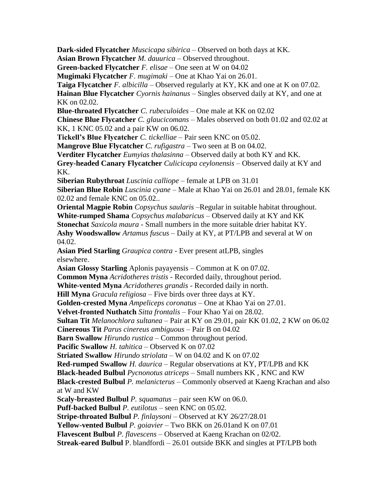**Dark-sided Flycatcher** *Muscicapa sibirica* – Observed on both days at KK. **Asian Brown Flycatcher** *M. dauurica –* Observed throughout. **Green-backed Flycatcher** *F. elisae* – One seen at W on 04.02 **Mugimaki Flycatcher** *F. mugimaki* – One at Khao Yai on 26.01. **Taiga Flycatcher** *F. albicilla* – Observed regularly at KY, KK and one at K on 07.02. **Hainan Blue Flycatcher** *Cyornis hainanus* – Singles observed daily at KY, and one at KK on 02.02. **Blue-throated Flycatcher** *C. rubeculoides* – One male at KK on 02.02 **Chinese Blue Flycatcher** *C. glaucicomans* – Males observed on both 01.02 and 02.02 at KK, 1 KNC 05.02 and a pair KW on 06.02. **Tickell's Blue Flycatcher** *C. tickelliae* – Pair seen KNC on 05.02. **Mangrove Blue Flycatcher** *C. rufigastra* – Two seen at B on 04.02. **Verditer Flycatcher** *Eumyias thalasinna* – Observed daily at both KY and KK. **Grey-headed Canary Flycatcher** *Culicicapa ceylonensis* – Observed daily at KY and KK. **Siberian Rubythroat** *Luscinia calliope* – female at LPB on 31.01 **Siberian Blue Robin** *Luscinia cyane* – Male at Khao Yai on 26.01 and 28.01, female KK 02.02 and female KNC on 05.02.. **Oriental Magpie Robin** *Copsychus saularis* –Regular in suitable habitat throughout. **White-rumped Shama** *Copsychus malabaricus* – Observed daily at KY and KK **Stonechat** *Saxicola maura* - Small numbers in the more suitable drier habitat KY. **Ashy Woodswallow** *Artamus fuscus* – Daily at KY, at PT/LPB and several at W on 04.02. **Asian Pied Starling** *Graupica contra* - Ever present atLPB, singles elsewhere. **Asian Glossy Starling** Aplonis payayensis – Common at K on 07.02. **Common Myna** *Acridotheres tristis* - Recorded daily, throughout period. **White-vented Myna** *Acridotheres grandis* - Recorded daily in north. **Hill Myna** *Gracula religiosa* – Five birds over three days at KY. **Golden-crested Myna** *Ampeliceps coronatus* – One at Khao Yai on 27.01. **Velvet-fronted Nuthatch** *Sitta frontalis –* Four Khao Yai on 28.02. **Sultan Tit** *Melanochlora sultanea* – Pair at KY on 29.01, pair KK 01.02, 2 KW on 06.02 **Cinereous Tit** *Parus cinereus ambiguous* – Pair B on 04.02 **Barn Swallow** *Hirundo rustica* – Common throughout period. **Pacific Swallow** *H. tahitica* – Observed K on 07.02 **Striated Swallow** *Hirundo striolata* – W on 04.02 and K on 07.02 **Red-rumped Swallow** *H. daurica* – Regular observations at KY, PT/LPB and KK **Black-headed Bulbul** *Pycnonotus atriceps* – Small numbers KK , KNC and KW **Black-crested Bulbul** *P. melanicterus* – Commonly observed at Kaeng Krachan and also at W and KW **Scaly-breasted Bulbul** *P. squamatus* – pair seen KW on 06.0. **Puff-backed Bulbul** *P. eutilotus* – seen KNC on 05.02. **Stripe-throated Bulbul** *P. finlaysoni* – Observed at KY 26/27/28.01 **Yellow-vented Bulbul** *P. goiavier* – Two BKK on 26.01and K on 07.01 **Flavescent Bulbul** *P. flavescens* – Observed at Kaeng Krachan on 02/02. **Streak-eared Bulbul** P. blandfordi – 26.01 outside BKK and singles at PT/LPB both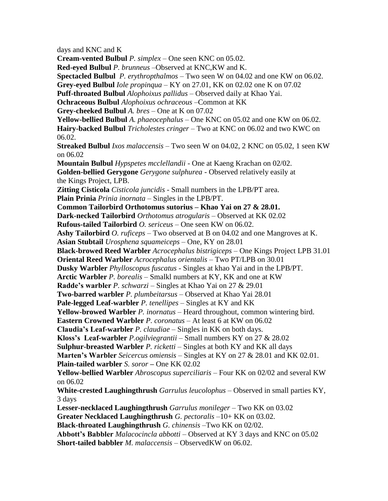days and KNC and K **Cream-vented Bulbul** *P. simplex –* One seen KNC on 05.02. **Red-eyed Bulbul** *P. brunneus* –Observed at KNC,KW and K. **Spectacled Bulbul** *P. erythropthalmos –* Two seen W on 04.02 and one KW on 06.02. **Grey-eyed Bulbul** *Iole propinqua* – KY on 27.01, KK on 02.02 one K on 07.02 **Puff-throated Bulbul** *Alophoixus pallidus* – Observed daily at Khao Yai. **Ochraceous Bulbul** *Alophoixus ochraceous* –Common at KK **Grey-cheeked Bulbul** *A. bres* – One at K on 07.02 **Yellow-bellied Bulbul** *A. phaeocephalus* – One KNC on 05.02 and one KW on 06.02. **Hairy-backed Bulbul** *Tricholestes cringer* – Two at KNC on 06.02 and two KWC on 06.02. **Streaked Bulbul** *Ixos malaccensis* – Two seen W on 04.02, 2 KNC on 05.02, 1 seen KW on 06.02 **Mountain Bulbul** *Hypspetes mcclellandii* - One at Kaeng Krachan on 02/02. **Golden-bellied Gerygone** *Gerygone sulphurea* - Observed relatively easily at the Kings Project, LPB. **Zitting Cisticola** *Cisticola juncidis* - Small numbers in the LPB/PT area. **Plain Prinia** *Prinia inornata* – Singles in the LPB/PT. **Common Tailorbird Orthotomus sutorius – Khao Yai on 27 & 28.01. Dark-necked Tailorbird** *Orthotomus atrogularis* – Observed at KK 02.02 **Rufous-tailed Tailorbird** *O. sericeus* – One seen KW on 06.02. **Ashy Tailorbird** *O. ruficeps* – Two observed at B on 04.02 and one Mangroves at K. **Asian Stubtail** *Urosphena squameiceps –* One, KY on 28.01 **Black-browed Reed Warbler** *Acrocephalus bistrigiceps* – One Kings Project LPB 31.01 **Oriental Reed Warbler** *Acrocephalus orientalis* – Two PT/LPB on 30.01 **Dusky Warbler** *Phylloscopus fuscatus* - Singles at khao Yai and in the LPB/PT. **Arctic Warbler** *P. borealis* – Smalkl numbers at KY, KK and one at KW **Radde's warbler** *P. schwarzi –* Singles at Khao Yai on 27 & 29.01 **Two-barred warbler** *P. plumbeitarsus –* Observed at Khao Yai 28.01 **Pale-legged Leaf-warbler** *P. tenellipes* – Singles at KY and KK **Yellow-browed Warbler** *P. inornatus* – Heard throughout, common wintering bird. **Eastern Crowned Warbler** *P. coronatus –* At least 6 at KW on 06.02 **Claudia's Leaf-warbler** *P. claudiae* – Singles in KK on both days. **Kloss's Leaf-warbler** *P.ogilviegrantii* – Small numbers KY on 27 & 28.02 **Sulphur-breasted Warbler** *P. ricketti* – Singles at both KY and KK all days **Marten's Warbler** *Seicercus omiensis* – Singles at KY on 27 & 28.01 and KK 02.01. **Plain-tailed warbler** *S. soror –* One KK 02.02 **Yellow-bellied Warbler** *Abroscopus superciliaris* – Four KK on 02/02 and several KW on 06.02 **White-crested Laughingthrush** *Garrulus leucolophus* – Observed in small parties KY, 3 days **Lesser-necklaced Laughingthrush** *Garrulus monileger* – Two KK on 03.02 **Greater Necklaced Laughingthrush** *G. pectoralis* –10+ KK on 03.02. **Black-throated Laughingthrush** *G. chinensis* –Two KK on 02/02. **Abbott's Babbler** *Malacocincla abbotti –* Observed at KY 3 days and KNC on 05.02 **Short-tailed babbler** *M. malaccensis* – ObservedKW on 06.02.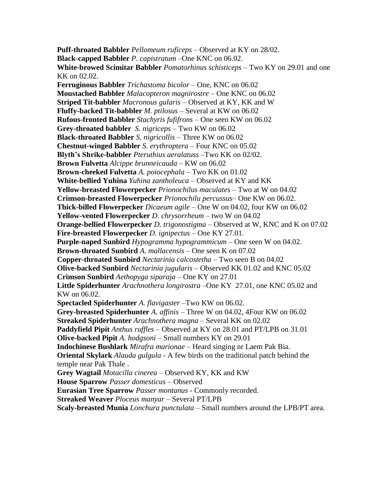**Puff-throated Babbler** *Pellomeum ruficeps* – Observed at KY on 28/02. **Black-capped Babbler** *P. capistratum* –One KNC on 06.02. **White-browed Scimitar Babbler** *Pomatorhinus schisticeps* – Two KY on 29.01 and one KK on 02.02. **Ferruginous Babbler** *Trichastoma bicolor* – One, KNC on 06.02 **Moustached Babbler** *Malacopteron magnirostre* – One KNC on 06.02 **Striped Tit-babbler** *Macronous gularis* – Observed at KY, KK and W **Fluffy-backed Tit-babbler** *M. ptilosus* – Several at KW on 06.02 **Rufous-fronted Babbler** *Stachyris fufifrons –* One seen KW on 06.02 **Grey-throated babbler** *S. nigriceps* – Two KW on 06.02 **Black-throated Babbler** *S. nigricollis –* Three KW on 06.02 **Chestnut-winged Babbler** *S. erythroptera* – Four KNC on 05.02 **Blyth's Shrike-babbler** *Pteruthius aeralatuss* –Two KK on 02/02. **Brown Fulvetta** *Alcippe brunneicauda –* KW on 06.02 **Brown-cheeked Fulvetta** *A. poiocephala* – Two KK on 01.02 **White-bellied Yuhina** *Yuhina zantholeuca* – Observed at KY and KK **Yellow-breasted Flowerpecker** *Prionochilus maculates* – Two at W on 04.02 **Crimson-breasted Flowerpecker** *Prionochilu percussus*– One KW on 06.02. **Thick-billed Flowerpecker** *Dicaeum agile* – One W on 04.02, four KW on 06.02 **Yellow-vented Flowerpecker** *D. chrysorrheum* – two W on 04.02 **Orange-bellied Flowerpecker** *D. trigonostigma* – Observed at W, KNC and K on 07.02 **Fire-breasted Flowerpecker** *D. ignipectus* – One KY 27.01. **Purple-naped Sunbird** *Hypogramma hypogrammicum* – One seen W on 04.02. **Brown-throated Sunbird** *A. mallacensis* – One seen K on 07.02 **Copper-throated Sunbird** *Nectarinia calcostetha* – Two seen B on 04.02 **Olive-backed Sunbird** *Nectarinia jugularis* – Observed KK 01.02 and KNC 05.02 **Crimson Sunbird** *Aethopyga siparaja* – One KY on 27.01 **Little Spiderhunter** *Arachnothera longirostra* –One KY 27.01, one KNC 05.02 and KW on 06.02. **Spectacled Spiderhunter** *A. flavigaster –*Two KW on 06.02. **Grey-breasted Spiderhunter** *A. affinis* – Three W on 04.02, 4Four KW on 06.02 **Streaked Spiderhunter** *Arachnothera magna* – Several KK on 02.02 **Paddyfield Pipit** *Anthus ruffles* – Observed at KY on 28.01 and PT/LPB on 31.01 **Olive-backed Pipit** *A. hodgsoni* – Small numbers KY on 29.01 **Indochinese Bushlark** *Mirafra marionae* – Heard singing nr Laem Pak Bia. **Oriental Skylark** *Alauda gulgula* - A few birds on the traditional patch behind the temple near Pak Thale . **Grey Wagtail** *Motacilla cinerea* – Observed KY, KK and KW **House Sparrow** *Passer domesticus* – Observed **Eurasian Tree Sparrow** *Passer montanus* - Commonly recorded. **Streaked Weaver** *Ploceus manyar* – Several PT/LPB **Scaly-breasted Munia** *Lonchura punctulata* – Small numbers around the LPB/PT area.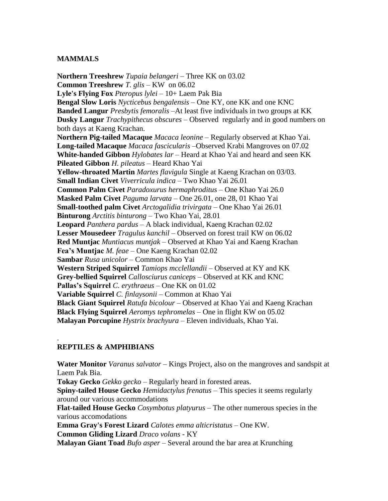## **MAMMALS**

**Northern Treeshrew** *Tupaia belangeri* – Three KK on 03.02 **Common Treeshrew** *T. glis* – KW on 06.02 **Lyle's Flying Fox** *Pteropus lylei* – 10+ Laem Pak Bia **Bengal Slow Loris** *Nycticebus bengalensis* – One KY, one KK and one KNC **Banded Langur** *Presbytis femoralis* –At least five individuals in two groups at KK **Dusky Langur** *Trachypithecus obscures* – Observed regularly and in good numbers on both days at Kaeng Krachan. **Northern Pig-tailed Macaque** *Macaca leonine* – Regularly observed at Khao Yai. **Long-tailed Macaque** *Macaca fascicularis* –Observed Krabi Mangroves on 07.02 **White-handed Gibbon** *Hylobates lar* – Heard at Khao Yai and heard and seen KK **Pileated Gibbon** *H. pileatus* – Heard Khao Yai **Yellow-throated Martin** *Martes flavigula* Single at Kaeng Krachan on 03/03. **Small Indian Civet** *Viverricula indica* – Two Khao Yai 26.01 **Common Palm Civet** *Paradoxurus hermaphroditus* – One Khao Yai 26.0 **Masked Palm Civet** *Paguma larvata* – One 26.01, one 28, 01 Khao Yai **Small-toothed palm Civet** *Arctogalidia trivirgata* – One Khao Yai 26.01 **Binturong** *Arctitis binturong* – Two Khao Yai, 28.01 **Leopard** *Panthera pardus* – A black individual, Kaeng Krachan 02.02 **Lesser Mousedeer** *Tragulus kanchil* – Observed on forest trail KW on 06.02 **Red Muntjac** *Muntiacus muntjak* – Observed at Khao Yai and Kaeng Krachan **Fea's Muntjac** *M. feae* – One Kaeng Krachan 02.02 **Sambar** *Rusa unicolor* – Common Khao Yai **Western Striped Squirrel** *Tamiops mcclellandii* – Observed at KY and KK **Grey-bellied Squirrel** *Callosciurus caniceps* – Observed at KK and KNC **Pallas's Squirrel** *C. erythraeus* – One KK on 01.02 **Variable Squirrel** *C. finlaysonii* – Common at Khao Yai **Black Giant Squirrel** *Ratufa bicolour* – Observed at Khao Yai and Kaeng Krachan **Black Flying Squirrel** *Aeromys tephromelas* – One in flight KW on 05.02 **Malayan Porcupine** *Hystrix brachyura* – Eleven individuals, Khao Yai.

# **REPTILES & AMPHIBIANS**

.

**Water Monitor** *Varanus salvator* – Kings Project, also on the mangroves and sandspit at Laem Pak Bia. **Tokay Gecko** *Gekko gecko* – Regularly heard in forested areas. **Spiny-tailed House Gecko** *Hemidactylus frenatus* – This species it seems regularly around our various accommodations **Flat-tailed House Gecko** *Cosymbotus platyurus* – The other numerous species in the various accomodations **Emma Gray's Forest Lizard** *Calotes emma alticristatus* – One KW. **Common Gliding Lizard** *Draco volans* - KY **Malayan Giant Toad** *Bufo asper* – Several around the bar area at Krunching